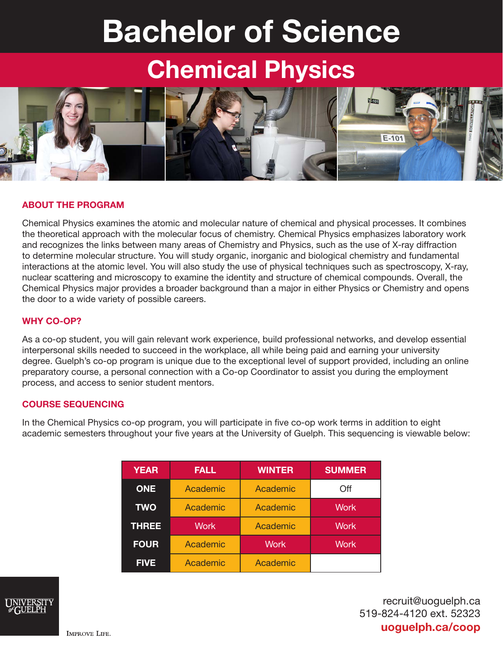# Bachelor of Science

## Chemical Physics



#### ABOUT THE PROGRAM

Chemical Physics examines the atomic and molecular nature of chemical and physical processes. It combines the theoretical approach with the molecular focus of chemistry. Chemical Physics emphasizes laboratory work and recognizes the links between many areas of Chemistry and Physics, such as the use of X-ray diffraction to determine molecular structure. You will study organic, inorganic and biological chemistry and fundamental interactions at the atomic level. You will also study the use of physical techniques such as spectroscopy, X-ray, nuclear scattering and microscopy to examine the identity and structure of chemical compounds. Overall, the Chemical Physics major provides a broader background than a major in either Physics or Chemistry and opens the door to a wide variety of possible careers.

#### WHY CO-OP?

As a co-op student, you will gain relevant work experience, build professional networks, and develop essential interpersonal skills needed to succeed in the workplace, all while being paid and earning your university degree. Guelph's co-op program is unique due to the exceptional level of support provided, including an online preparatory course, a personal connection with a Co-op Coordinator to assist you during the employment process, and access to senior student mentors.

#### COURSE SEQUENCING

In the Chemical Physics co-op program, you will participate in five co-op work terms in addition to eight academic semesters throughout your five years at the University of Guelph. This sequencing is viewable below:

| <b>YEAR</b>  | <b>FALL</b> | <b>WINTER</b> | <b>SUMMER</b> |
|--------------|-------------|---------------|---------------|
| <b>ONE</b>   | Academic    | Academic      | Off           |
| <b>TWO</b>   | Academic    | Academic      | <b>Work</b>   |
| <b>THREE</b> | <b>Work</b> | Academic      | <b>Work</b>   |
| <b>FOUR</b>  | Academic    | <b>Work</b>   | <b>Work</b>   |
| <b>FIVE</b>  | Academic    | Academic      |               |



recruit@uoguelph.ca 519-824-4120 ext. 52323 uoguelph.ca/coop